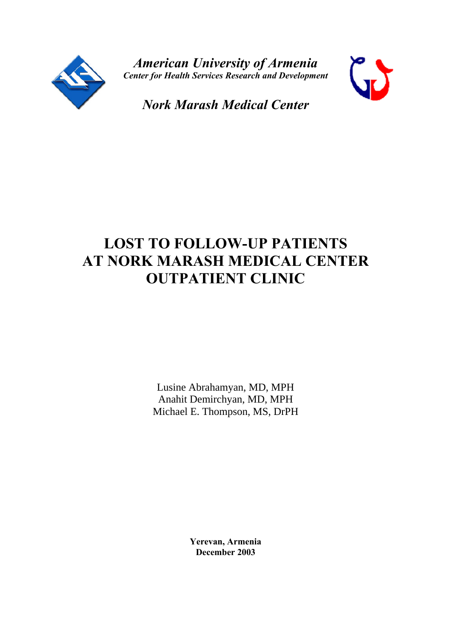

*American University of Armenia Center for Health Services Research and Development*



*Nork Marash Medical Center*

# **LOST TO FOLLOW-UP PATIENTS AT NORK MARASH MEDICAL CENTER OUTPATIENT CLINIC**

Lusine Abrahamyan, MD, MPH Anahit Demirchyan, MD, MPH Michael E. Thompson, MS, DrPH

> **Yerevan, Armenia December 2003**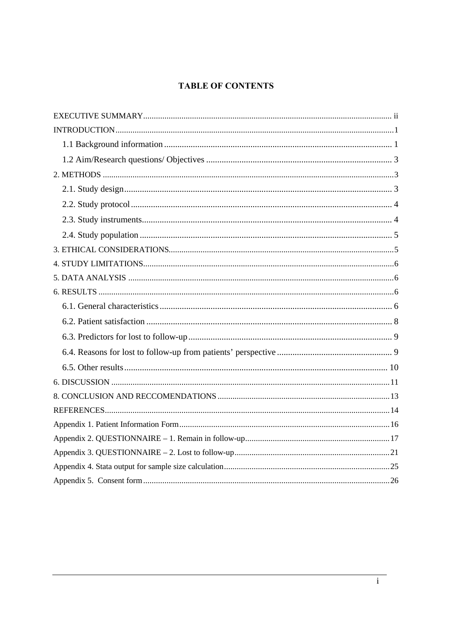# **TABLE OF CONTENTS**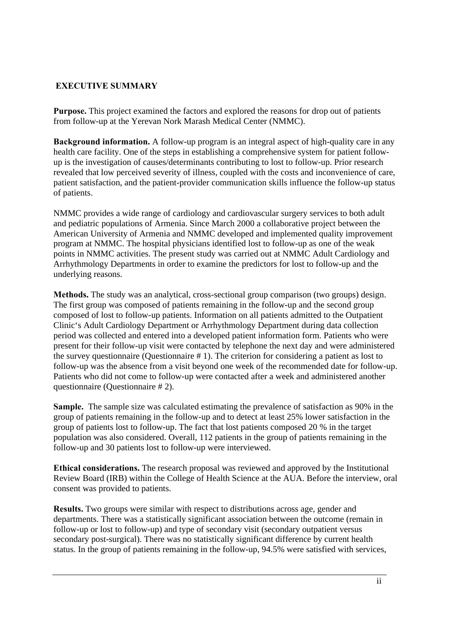#### **EXECUTIVE SUMMARY**

**Purpose.** This project examined the factors and explored the reasons for drop out of patients from follow-up at the Yerevan Nork Marash Medical Center (NMMC).

**Background information.** A follow-up program is an integral aspect of high-quality care in any health care facility. One of the steps in establishing a comprehensive system for patient followup is the investigation of causes/determinants contributing to lost to follow-up. Prior research revealed that low perceived severity of illness, coupled with the costs and inconvenience of care, patient satisfaction, and the patient-provider communication skills influence the follow-up status of patients.

NMMC provides a wide range of cardiology and cardiovascular surgery services to both adult and pediatric populations of Armenia. Since March 2000 a collaborative project between the American University of Armenia and NMMC developed and implemented quality improvement program at NMMC. The hospital physicians identified lost to follow-up as one of the weak points in NMMC activities. The present study was carried out at NMMC Adult Cardiology and Arrhythmology Departments in order to examine the predictors for lost to follow-up and the underlying reasons.

**Methods.** The study was an analytical, cross-sectional group comparison (two groups) design. The first group was composed of patients remaining in the follow-up and the second group composed of lost to follow-up patients. Information on all patients admitted to the Outpatient Clinic's Adult Cardiology Department or Arrhythmology Department during data collection period was collected and entered into a developed patient information form. Patients who were present for their follow-up visit were contacted by telephone the next day and were administered the survey questionnaire (Questionnaire # 1). The criterion for considering a patient as lost to follow-up was the absence from a visit beyond one week of the recommended date for follow-up. Patients who did not come to follow-up were contacted after a week and administered another questionnaire (Questionnaire # 2).

**Sample.** The sample size was calculated estimating the prevalence of satisfaction as 90% in the group of patients remaining in the follow-up and to detect at least 25% lower satisfaction in the group of patients lost to follow-up. The fact that lost patients composed 20 % in the target population was also considered. Overall, 112 patients in the group of patients remaining in the follow-up and 30 patients lost to follow-up were interviewed.

**Ethical considerations.** The research proposal was reviewed and approved by the Institutional Review Board (IRB) within the College of Health Science at the AUA. Before the interview, oral consent was provided to patients.

**Results.** Two groups were similar with respect to distributions across age, gender and departments. There was a statistically significant association between the outcome (remain in follow-up or lost to follow-up) and type of secondary visit (secondary outpatient versus secondary post-surgical). There was no statistically significant difference by current health status. In the group of patients remaining in the follow-up, 94.5% were satisfied with services,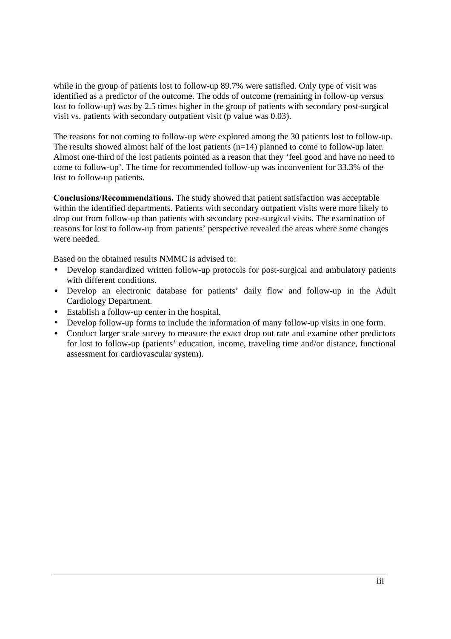while in the group of patients lost to follow-up 89.7% were satisfied. Only type of visit was identified as a predictor of the outcome. The odds of outcome (remaining in follow-up versus lost to follow-up) was by 2.5 times higher in the group of patients with secondary post-surgical visit vs. patients with secondary outpatient visit (p value was 0.03).

The reasons for not coming to follow-up were explored among the 30 patients lost to follow-up. The results showed almost half of the lost patients (n=14) planned to come to follow-up later. Almost one-third of the lost patients pointed as a reason that they 'feel good and have no need to come to follow-up'. The time for recommended follow-up was inconvenient for 33.3% of the lost to follow-up patients.

**Conclusions/Recommendations.** The study showed that patient satisfaction was acceptable within the identified departments. Patients with secondary outpatient visits were more likely to drop out from follow-up than patients with secondary post-surgical visits. The examination of reasons for lost to follow-up from patients' perspective revealed the areas where some changes were needed.

Based on the obtained results NMMC is advised to:

- Develop standardized written follow-up protocols for post-surgical and ambulatory patients with different conditions.
- Develop an electronic database for patients' daily flow and follow-up in the Adult Cardiology Department.
- Establish a follow-up center in the hospital.
- Develop follow-up forms to include the information of many follow-up visits in one form.
- Conduct larger scale survey to measure the exact drop out rate and examine other predictors for lost to follow-up (patients' education, income, traveling time and/or distance, functional assessment for cardiovascular system).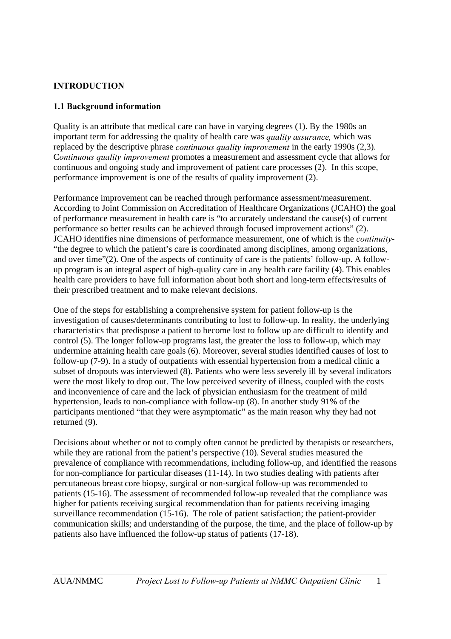## **INTRODUCTION**

#### **1.1 Background information**

Quality is an attribute that medical care can have in varying degrees (1). By the 1980s an important term for addressing the quality of health care was *quality assurance,* which was replaced by the descriptive phrase *continuous quality improvement* in the early 1990s (2,3). C*ontinuous quality improvement* promotes a measurement and assessment cycle that allows for continuous and ongoing study and improvement of patient care processes (2). In this scope, performance improvement is one of the results of quality improvement (2).

Performance improvement can be reached through performance assessment/measurement. According to Joint Commission on Accreditation of Healthcare Organizations (JCAHO) the goal of performance measurement in health care is "to accurately understand the cause(s) of current performance so better results can be achieved through focused improvement actions" (2). JCAHO identifies nine dimensions of performance measurement, one of which is the *continuity*- "the degree to which the patient's care is coordinated among disciplines, among organizations, and over time"(2). One of the aspects of continuity of care is the patients' follow-up. A followup program is an integral aspect of high-quality care in any health care facility (4). This enables health care providers to have full information about both short and long-term effects/results of their prescribed treatment and to make relevant decisions.

One of the steps for establishing a comprehensive system for patient follow-up is the investigation of causes/determinants contributing to lost to follow-up. In reality, the underlying characteristics that predispose a patient to become lost to follow up are difficult to identify and control (5). The longer follow-up programs last, the greater the loss to follow-up, which may undermine attaining health care goals (6). Moreover, several studies identified causes of lost to follow-up (7-9). In a study of outpatients with essential hypertension from a medical clinic a subset of dropouts was interviewed (8). Patients who were less severely ill by several indicators were the most likely to drop out. The low perceived severity of illness, coupled with the costs and inconvenience of care and the lack of physician enthusiasm for the treatment of mild hypertension, leads to non-compliance with follow-up (8). In another study 91% of the participants mentioned "that they were asymptomatic" as the main reason why they had not returned (9).

Decisions about whether or not to comply often cannot be predicted by therapists or researchers, while they are rational from the patient's perspective (10). Several studies measured the prevalence of compliance with recommendations, including follow-up, and identified the reasons for non-compliance for particular diseases (11-14). In two studies dealing with patients after percutaneous breast core biopsy, surgical or non-surgical follow-up was recommended to patients (15-16). The assessment of recommended follow-up revealed that the compliance was higher for patients receiving surgical recommendation than for patients receiving imaging surveillance recommendation (15-16). The role of patient satisfaction; the patient-provider communication skills; and understanding of the purpose, the time, and the place of follow-up by patients also have influenced the follow-up status of patients (17-18).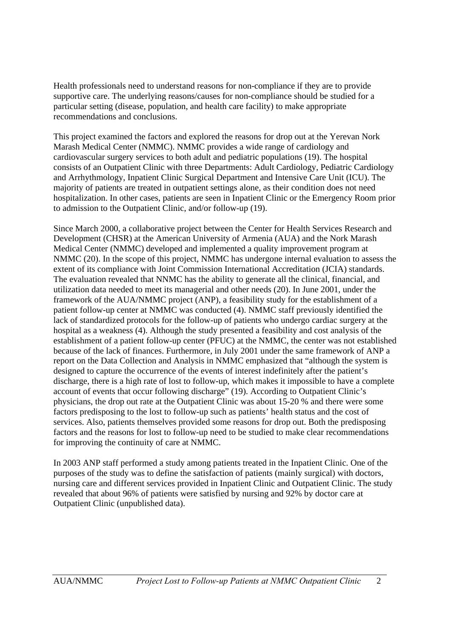Health professionals need to understand reasons for non-compliance if they are to provide supportive care. The underlying reasons/causes for non-compliance should be studied for a particular setting (disease, population, and health care facility) to make appropriate recommendations and conclusions.

This project examined the factors and explored the reasons for drop out at the Yerevan Nork Marash Medical Center (NMMC). NMMC provides a wide range of cardiology and cardiovascular surgery services to both adult and pediatric populations (19). The hospital consists of an Outpatient Clinic with three Departments: Adult Cardiology, Pediatric Cardiology and Arrhythmology, Inpatient Clinic Surgical Department and Intensive Care Unit (ICU). The majority of patients are treated in outpatient settings alone, as their condition does not need hospitalization. In other cases, patients are seen in Inpatient Clinic or the Emergency Room prior to admission to the Outpatient Clinic, and/or follow-up (19).

Since March 2000, a collaborative project between the Center for Health Services Research and Development (CHSR) at the American University of Armenia (AUA) and the Nork Marash Medical Center (NMMC) developed and implemented a quality improvement program at NMMC (20). In the scope of this project, NMMC has undergone internal evaluation to assess the extent of its compliance with Joint Commission International Accreditation (JCIA) standards. The evaluation revealed that NNMC has the ability to generate all the clinical, financial, and utilization data needed to meet its managerial and other needs (20). In June 2001, under the framework of the AUA/NMMC project (ANP), a feasibility study for the establishment of a patient follow-up center at NMMC was conducted (4). NMMC staff previously identified the lack of standardized protocols for the follow-up of patients who undergo cardiac surgery at the hospital as a weakness (4). Although the study presented a feasibility and cost analysis of the establishment of a patient follow-up center (PFUC) at the NMMC, the center was not established because of the lack of finances. Furthermore, in July 2001 under the same framework of ANP a report on the Data Collection and Analysis in NMMC emphasized that "although the system is designed to capture the occurrence of the events of interest indefinitely after the patient's discharge, there is a high rate of lost to follow-up, which makes it impossible to have a complete account of events that occur following discharge" (19). According to Outpatient Clinic's physicians, the drop out rate at the Outpatient Clinic was about 15-20 % and there were some factors predisposing to the lost to follow-up such as patients' health status and the cost of services. Also, patients themselves provided some reasons for drop out. Both the predisposing factors and the reasons for lost to follow-up need to be studied to make clear recommendations for improving the continuity of care at NMMC.

In 2003 ANP staff performed a study among patients treated in the Inpatient Clinic. One of the purposes of the study was to define the satisfaction of patients (mainly surgical) with doctors, nursing care and different services provided in Inpatient Clinic and Outpatient Clinic. The study revealed that about 96% of patients were satisfied by nursing and 92% by doctor care at Outpatient Clinic (unpublished data).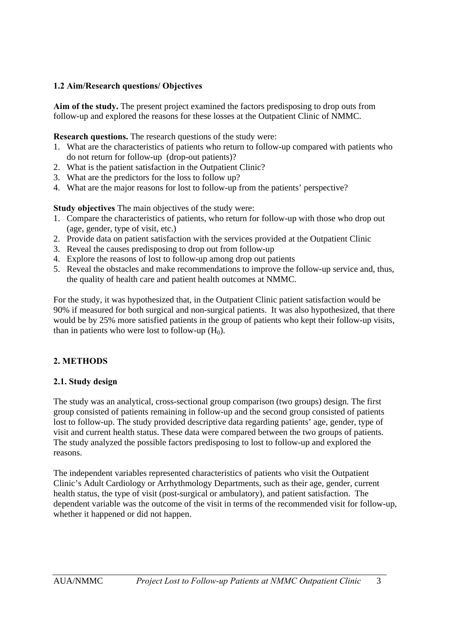## **1.2 Aim/Research questions/ Objectives**

**Aim of the study.** The present project examined the factors predisposing to drop outs from follow-up and explored the reasons for these losses at the Outpatient Clinic of NMMC.

**Research questions.** The research questions of the study were:

- 1. What are the characteristics of patients who return to follow-up compared with patients who do not return for follow-up (drop-out patients)?
- 2. What is the patient satisfaction in the Outpatient Clinic?
- 3. What are the predictors for the loss to follow up?
- 4. What are the major reasons for lost to follow-up from the patients' perspective?

**Study objectives** The main objectives of the study were:

- 1. Compare the characteristics of patients, who return for follow-up with those who drop out (age, gender, type of visit, etc.)
- 2. Provide data on patient satisfaction with the services provided at the Outpatient Clinic
- 3. Reveal the causes predisposing to drop out from follow-up
- 4. Explore the reasons of lost to follow-up among drop out patients
- 5. Reveal the obstacles and make recommendations to improve the follow-up service and, thus, the quality of health care and patient health outcomes at NMMC.

For the study, it was hypothesized that, in the Outpatient Clinic patient satisfaction would be 90% if measured for both surgical and non-surgical patients. It was also hypothesized, that there would be by 25% more satisfied patients in the group of patients who kept their follow-up visits, than in patients who were lost to follow-up  $(H_0)$ .

#### **2. METHODS**

#### **2.1. Study design**

The study was an analytical, cross-sectional group comparison (two groups) design. The first group consisted of patients remaining in follow-up and the second group consisted of patients lost to follow-up. The study provided descriptive data regarding patients' age, gender, type of visit and current health status. These data were compared between the two groups of patients. The study analyzed the possible factors predisposing to lost to follow-up and explored the reasons.

The independent variables represented characteristics of patients who visit the Outpatient Clinic's Adult Cardiology or Arrhythmology Departments, such as their age, gender, current health status, the type of visit (post-surgical or ambulatory), and patient satisfaction. The dependent variable was the outcome of the visit in terms of the recommended visit for follow-up, whether it happened or did not happen.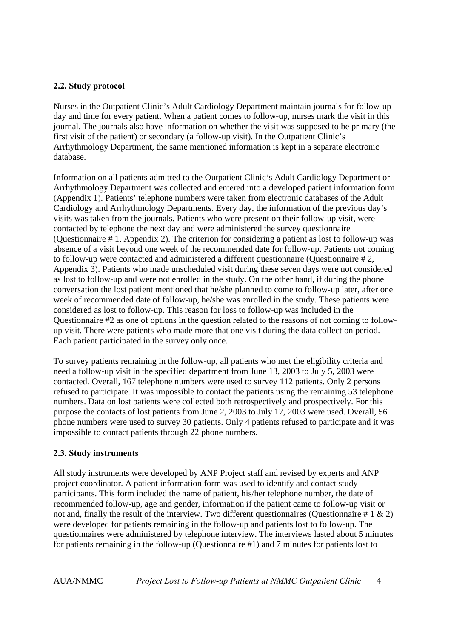#### **2.2. Study protocol**

Nurses in the Outpatient Clinic's Adult Cardiology Department maintain journals for follow-up day and time for every patient. When a patient comes to follow-up, nurses mark the visit in this journal. The journals also have information on whether the visit was supposed to be primary (the first visit of the patient) or secondary (a follow-up visit). In the Outpatient Clinic's Arrhythmology Department, the same mentioned information is kept in a separate electronic database.

Information on all patients admitted to the Outpatient Clinic's Adult Cardiology Department or Arrhythmology Department was collected and entered into a developed patient information form (Appendix 1). Patients' telephone numbers were taken from electronic databases of the Adult Cardiology and Arrhythmology Departments. Every day, the information of the previous day's visits was taken from the journals. Patients who were present on their follow-up visit, were contacted by telephone the next day and were administered the survey questionnaire (Questionnaire # 1, Appendix 2). The criterion for considering a patient as lost to follow-up was absence of a visit beyond one week of the recommended date for follow-up. Patients not coming to follow-up were contacted and administered a different questionnaire (Questionnaire # 2, Appendix 3). Patients who made unscheduled visit during these seven days were not considered as lost to follow-up and were not enrolled in the study. On the other hand, if during the phone conversation the lost patient mentioned that he/she planned to come to follow-up later, after one week of recommended date of follow-up, he/she was enrolled in the study. These patients were considered as lost to follow-up. This reason for loss to follow-up was included in the Questionnaire #2 as one of options in the question related to the reasons of not coming to followup visit. There were patients who made more that one visit during the data collection period. Each patient participated in the survey only once.

To survey patients remaining in the follow-up, all patients who met the eligibility criteria and need a follow-up visit in the specified department from June 13, 2003 to July 5, 2003 were contacted. Overall, 167 telephone numbers were used to survey 112 patients. Only 2 persons refused to participate. It was impossible to contact the patients using the remaining 53 telephone numbers. Data on lost patients were collected both retrospectively and prospectively. For this purpose the contacts of lost patients from June 2, 2003 to July 17, 2003 were used. Overall, 56 phone numbers were used to survey 30 patients. Only 4 patients refused to participate and it was impossible to contact patients through 22 phone numbers.

#### **2.3. Study instruments**

All study instruments were developed by ANP Project staff and revised by experts and ANP project coordinator. A patient information form was used to identify and contact study participants. This form included the name of patient, his/her telephone number, the date of recommended follow-up, age and gender, information if the patient came to follow-up visit or not and, finally the result of the interview. Two different questionnaires (Questionnaire  $\# 1 \& 2$ ) were developed for patients remaining in the follow-up and patients lost to follow-up. The questionnaires were administered by telephone interview. The interviews lasted about 5 minutes for patients remaining in the follow-up (Questionnaire #1) and 7 minutes for patients lost to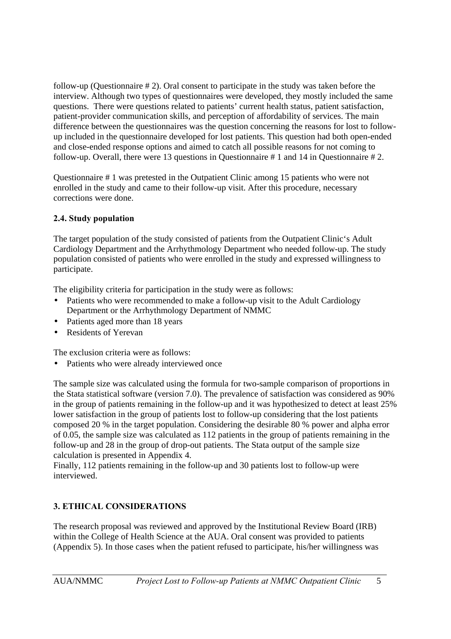follow-up (Questionnaire # 2). Oral consent to participate in the study was taken before the interview. Although two types of questionnaires were developed, they mostly included the same questions. There were questions related to patients' current health status, patient satisfaction, patient-provider communication skills, and perception of affordability of services. The main difference between the questionnaires was the question concerning the reasons for lost to followup included in the questionnaire developed for lost patients. This question had both open-ended and close-ended response options and aimed to catch all possible reasons for not coming to follow-up. Overall, there were 13 questions in Questionnaire # 1 and 14 in Questionnaire # 2.

Questionnaire # 1 was pretested in the Outpatient Clinic among 15 patients who were not enrolled in the study and came to their follow-up visit. After this procedure, necessary corrections were done.

#### **2.4. Study population**

The target population of the study consisted of patients from the Outpatient Clinic's Adult Cardiology Department and the Arrhythmology Department who needed follow-up. The study population consisted of patients who were enrolled in the study and expressed willingness to participate.

The eligibility criteria for participation in the study were as follows:

- Patients who were recommended to make a follow-up visit to the Adult Cardiology Department or the Arrhythmology Department of NMMC
- Patients aged more than 18 years
- Residents of Yerevan

The exclusion criteria were as follows:

• Patients who were already interviewed once

The sample size was calculated using the formula for two-sample comparison of proportions in the Stata statistical software (version 7.0). The prevalence of satisfaction was considered as 90% in the group of patients remaining in the follow-up and it was hypothesized to detect at least 25% lower satisfaction in the group of patients lost to follow-up considering that the lost patients composed 20 % in the target population. Considering the desirable 80 % power and alpha error of 0.05, the sample size was calculated as 112 patients in the group of patients remaining in the follow-up and 28 in the group of drop-out patients. The Stata output of the sample size calculation is presented in Appendix 4.

Finally, 112 patients remaining in the follow-up and 30 patients lost to follow-up were interviewed.

#### **3. ETHICAL CONSIDERATIONS**

The research proposal was reviewed and approved by the Institutional Review Board (IRB) within the College of Health Science at the AUA. Oral consent was provided to patients (Appendix 5). In those cases when the patient refused to participate, his/her willingness was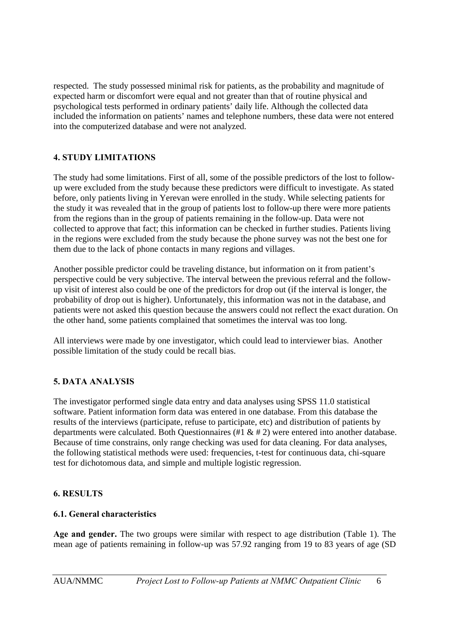respected. The study possessed minimal risk for patients, as the probability and magnitude of expected harm or discomfort were equal and not greater than that of routine physical and psychological tests performed in ordinary patients' daily life. Although the collected data included the information on patients' names and telephone numbers, these data were not entered into the computerized database and were not analyzed.

## **4. STUDY LIMITATIONS**

The study had some limitations. First of all, some of the possible predictors of the lost to followup were excluded from the study because these predictors were difficult to investigate. As stated before, only patients living in Yerevan were enrolled in the study. While selecting patients for the study it was revealed that in the group of patients lost to follow-up there were more patients from the regions than in the group of patients remaining in the follow-up. Data were not collected to approve that fact; this information can be checked in further studies. Patients living in the regions were excluded from the study because the phone survey was not the best one for them due to the lack of phone contacts in many regions and villages.

Another possible predictor could be traveling distance, but information on it from patient's perspective could be very subjective. The interval between the previous referral and the followup visit of interest also could be one of the predictors for drop out (if the interval is longer, the probability of drop out is higher). Unfortunately, this information was not in the database, and patients were not asked this question because the answers could not reflect the exact duration. On the other hand, some patients complained that sometimes the interval was too long.

All interviews were made by one investigator, which could lead to interviewer bias. Another possible limitation of the study could be recall bias.

#### **5. DATA ANALYSIS**

The investigator performed single data entry and data analyses using SPSS 11.0 statistical software. Patient information form data was entered in one database. From this database the results of the interviews (participate, refuse to participate, etc) and distribution of patients by departments were calculated. Both Questionnaires (#1 & # 2) were entered into another database. Because of time constrains, only range checking was used for data cleaning. For data analyses, the following statistical methods were used: frequencies, t-test for continuous data, chi-square test for dichotomous data, and simple and multiple logistic regression.

#### **6. RESULTS**

#### **6.1. General characteristics**

**Age and gender.** The two groups were similar with respect to age distribution (Table 1). The mean age of patients remaining in follow-up was 57.92 ranging from 19 to 83 years of age (SD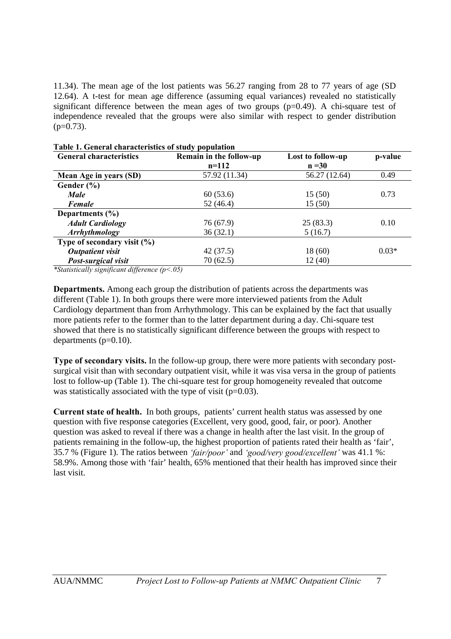11.34). The mean age of the lost patients was 56.27 ranging from 28 to 77 years of age (SD 12.64). A t-test for mean age difference (assuming equal variances) revealed no statistically significant difference between the mean ages of two groups  $(p=0.49)$ . A chi-square test of independence revealed that the groups were also similar with respect to gender distribution  $(p=0.73)$ .

| <b>General characteristics</b>  | Remain in the follow-up | Lost to follow-up | p-value |
|---------------------------------|-------------------------|-------------------|---------|
|                                 | $n=112$                 | $n = 30$          |         |
| Mean Age in years (SD)          | 57.92 (11.34)           | 56.27 (12.64)     | 0.49    |
| Gender $(\% )$                  |                         |                   |         |
| <b>Male</b>                     | 60(53.6)                | 15(50)            | 0.73    |
| Female                          | 52(46.4)                | 15(50)            |         |
| Departments $(\% )$             |                         |                   |         |
| <b>Adult Cardiology</b>         | 76 (67.9)               | 25(83.3)          | 0.10    |
| <b>Arrhythmology</b>            | 36(32.1)                | 5(16.7)           |         |
| Type of secondary visit $(\% )$ |                         |                   |         |
| <b>Outpatient visit</b>         | 42(37.5)                | 18(60)            | $0.03*$ |
| Post-surgical visit             | 70(62.5)                | 12(40)            |         |

| Table 1. General characteristics of study population |
|------------------------------------------------------|
|------------------------------------------------------|

*\*Statistically significant difference (p<.05)*

**Departments.** Among each group the distribution of patients across the departments was different (Table 1). In both groups there were more interviewed patients from the Adult Cardiology department than from Arrhythmology. This can be explained by the fact that usually more patients refer to the former than to the latter department during a day. Chi-square test showed that there is no statistically significant difference between the groups with respect to departments  $(p=0.10)$ .

**Type of secondary visits.** In the follow-up group, there were more patients with secondary postsurgical visit than with secondary outpatient visit, while it was visa versa in the group of patients lost to follow-up (Table 1). The chi-square test for group homogeneity revealed that outcome was statistically associated with the type of visit (p=0.03).

**Current state of health.** In both groups, patients' current health status was assessed by one question with five response categories (Excellent, very good, good, fair, or poor). Another question was asked to reveal if there was a change in health after the last visit. In the group of patients remaining in the follow-up, the highest proportion of patients rated their health as 'fair', 35.7 % (Figure 1). The ratios between *'fair/poor'* and *'good/very good/excellent'* was 41.1 %: 58.9%. Among those with 'fair' health, 65% mentioned that their health has improved since their last visit.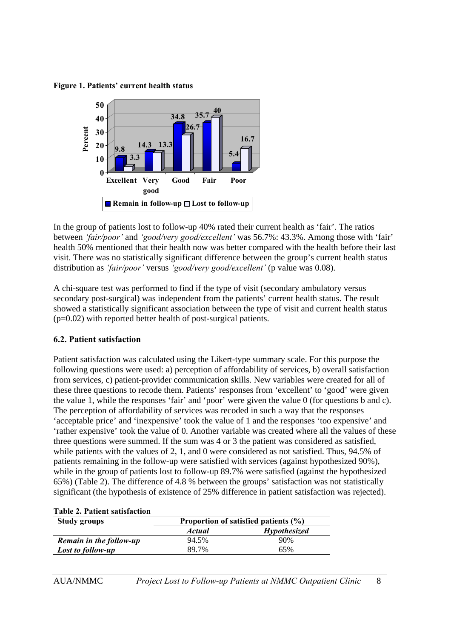**Figure 1. Patients' current health status**



In the group of patients lost to follow-up 40% rated their current health as 'fair'. The ratios between *'fair/poor'* and *'good/very good/excellent'* was 56.7%: 43.3%. Among those with 'fair' health 50% mentioned that their health now was better compared with the health before their last visit. There was no statistically significant difference between the group's current health status distribution as *'fair/poor'* versus *'good/very good/excellent'* (p value was 0.08).

A chi-square test was performed to find if the type of visit (secondary ambulatory versus secondary post-surgical) was independent from the patients' current health status. The result showed a statistically significant association between the type of visit and current health status  $(p=0.02)$  with reported better health of post-surgical patients.

#### **6.2. Patient satisfaction**

Patient satisfaction was calculated using the Likert-type summary scale. For this purpose the following questions were used: a) perception of affordability of services, b) overall satisfaction from services, c) patient-provider communication skills. New variables were created for all of these three questions to recode them. Patients' responses from 'excellent' to 'good' were given the value 1, while the responses 'fair' and 'poor' were given the value 0 (for questions b and c). The perception of affordability of services was recoded in such a way that the responses 'acceptable price' and 'inexpensive' took the value of 1 and the responses 'too expensive' and 'rather expensive' took the value of 0. Another variable was created where all the values of these three questions were summed. If the sum was 4 or 3 the patient was considered as satisfied, while patients with the values of 2, 1, and 0 were considered as not satisfied. Thus, 94.5% of patients remaining in the follow-up were satisfied with services (against hypothesized 90%), while in the group of patients lost to follow-up 89.7% were satisfied (against the hypothesized 65%) (Table 2). The difference of 4.8 % between the groups' satisfaction was not statistically significant (the hypothesis of existence of 25% difference in patient satisfaction was rejected).

| <b>Table 2. Patient satisfaction</b> |                                      |                     |  |  |
|--------------------------------------|--------------------------------------|---------------------|--|--|
| <b>Study groups</b>                  | Proportion of satisfied patients (%) |                     |  |  |
|                                      | <b>Actual</b>                        | <b>Hypothesized</b> |  |  |
| Remain in the follow-up              | 94.5%                                | 90%                 |  |  |
| Lost to follow-up                    | 89.7%                                | 65%                 |  |  |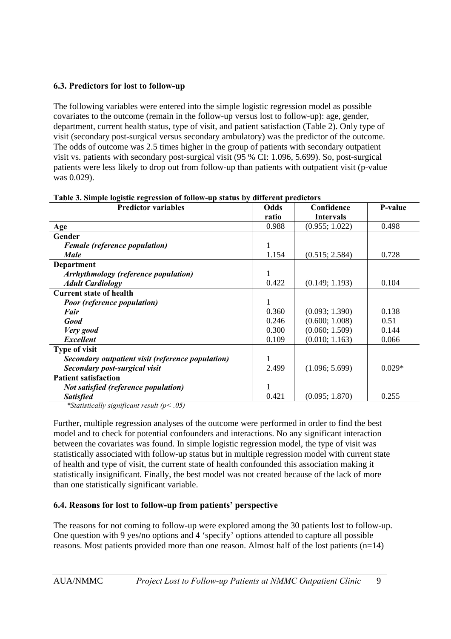#### **6.3. Predictors for lost to follow-up**

The following variables were entered into the simple logistic regression model as possible covariates to the outcome (remain in the follow-up versus lost to follow-up): age, gender, department, current health status, type of visit, and patient satisfaction (Table 2). Only type of visit (secondary post-surgical versus secondary ambulatory) was the predictor of the outcome. The odds of outcome was 2.5 times higher in the group of patients with secondary outpatient visit vs. patients with secondary post-surgical visit (95 % CI: 1.096, 5.699). So, post-surgical patients were less likely to drop out from follow-up than patients with outpatient visit (p-value was 0.029).

| <b>Predictor variables</b>                        | Odds  | Confidence       | P-value  |
|---------------------------------------------------|-------|------------------|----------|
|                                                   | ratio | <b>Intervals</b> |          |
| Age                                               | 0.988 | (0.955; 1.022)   | 0.498    |
| Gender                                            |       |                  |          |
| <b>Female</b> (reference population)              | 1     |                  |          |
| <b>Male</b>                                       | 1.154 | (0.515; 2.584)   | 0.728    |
| Department                                        |       |                  |          |
| <b>Arrhythmology (reference population)</b>       | 1     |                  |          |
| <b>Adult Cardiology</b>                           | 0.422 | (0.149; 1.193)   | 0.104    |
| <b>Current state of health</b>                    |       |                  |          |
| <b>Poor (reference population)</b>                |       |                  |          |
| Fair                                              | 0.360 | (0.093; 1.390)   | 0.138    |
| Good                                              | 0.246 | (0.600; 1.008)   | 0.51     |
| Very good                                         | 0.300 | (0.060; 1.509)   | 0.144    |
| <b>Excellent</b>                                  | 0.109 | (0.010; 1.163)   | 0.066    |
| <b>Type of visit</b>                              |       |                  |          |
| Secondary outpatient visit (reference population) |       |                  |          |
| Secondary post-surgical visit                     | 2.499 | (1.096; 5.699)   | $0.029*$ |
| <b>Patient satisfaction</b>                       |       |                  |          |
| Not satisfied (reference population)              |       |                  |          |
| <b>Satisfied</b>                                  | 0.421 | (0.095; 1.870)   | 0.255    |

**Table 3. Simple logistic regression of follow-up status by different predictors**

*\*Statistically significant result (p< .05)*

Further, multiple regression analyses of the outcome were performed in order to find the best model and to check for potential confounders and interactions. No any significant interaction between the covariates was found. In simple logistic regression model, the type of visit was statistically associated with follow-up status but in multiple regression model with current state of health and type of visit, the current state of health confounded this association making it statistically insignificant. Finally, the best model was not created because of the lack of more than one statistically significant variable.

# **6.4. Reasons for lost to follow-up from patients' perspective**

The reasons for not coming to follow-up were explored among the 30 patients lost to follow-up. One question with 9 yes/no options and 4 'specify' options attended to capture all possible reasons. Most patients provided more than one reason. Almost half of the lost patients (n=14)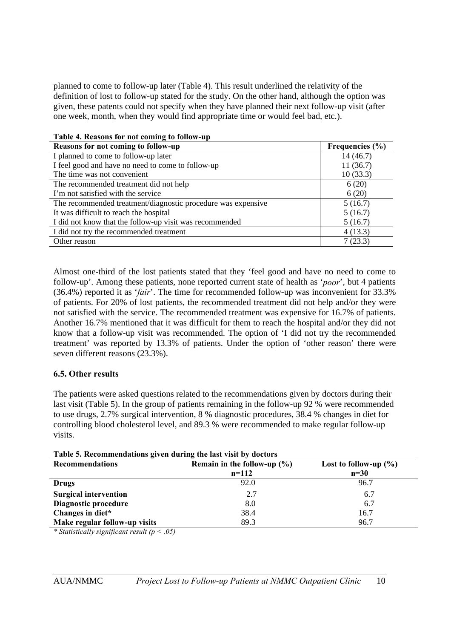planned to come to follow-up later (Table 4). This result underlined the relativity of the definition of lost to follow-up stated for the study. On the other hand, although the option was given, these patents could not specify when they have planned their next follow-up visit (after one week, month, when they would find appropriate time or would feel bad, etc.).

| <b>TADIC 7. INCASURS TOT HOT COMME TO TOHUM-UP</b>           |                     |
|--------------------------------------------------------------|---------------------|
| Reasons for not coming to follow-up                          | Frequencies $(\% )$ |
| I planned to come to follow-up later                         | 14(46.7)            |
| I feel good and have no need to come to follow-up            | 11(36.7)            |
| The time was not convenient                                  | 10(33.3)            |
| The recommended treatment did not help                       | 6(20)               |
| I'm not satisfied with the service                           | 6(20)               |
| The recommended treatment/diagnostic procedure was expensive | 5(16.7)             |
| It was difficult to reach the hospital                       | 5(16.7)             |
| I did not know that the follow-up visit was recommended      | 5(16.7)             |
| I did not try the recommended treatment                      | 4(13.3)             |
| Other reason                                                 | 7(23.3)             |

**Table 4. Reasons for not coming to follow-up**

Almost one-third of the lost patients stated that they 'feel good and have no need to come to follow-up'. Among these patients, none reported current state of health as '*poor*', but 4 patients (36.4%) reported it as '*fair*'. The time for recommended follow-up was inconvenient for 33.3% of patients. For 20% of lost patients, the recommended treatment did not help and/or they were not satisfied with the service. The recommended treatment was expensive for 16.7% of patients. Another 16.7% mentioned that it was difficult for them to reach the hospital and/or they did not know that a follow-up visit was recommended. The option of 'I did not try the recommended treatment' was reported by 13.3% of patients. Under the option of 'other reason' there were seven different reasons (23.3%).

#### **6.5. Other results**

The patients were asked questions related to the recommendations given by doctors during their last visit (Table 5). In the group of patients remaining in the follow-up 92 % were recommended to use drugs, 2.7% surgical intervention, 8 % diagnostic procedures, 38.4 % changes in diet for controlling blood cholesterol level, and 89.3 % were recommended to make regular follow-up visits.

| Table 5. Recommendations given during the last visit by doctors |                                 |                           |  |
|-----------------------------------------------------------------|---------------------------------|---------------------------|--|
| <b>Recommendations</b>                                          | Remain in the follow-up $(\% )$ | Lost to follow-up $(\% )$ |  |
|                                                                 | $n=112$                         | $n=30$                    |  |
| <b>Drugs</b>                                                    | 92.0                            | 96.7                      |  |
| <b>Surgical intervention</b>                                    | 2.7                             | 6.7                       |  |
| Diagnostic procedure                                            | 8.0                             | 6.7                       |  |
| Changes in diet*                                                | 38.4                            | 16.7                      |  |
| Make regular follow-up visits                                   | 89.3                            | 96.7                      |  |

**Table 5. Recommendations given during the last visit by doctors**

*\* Statistically significant result (p < .05)*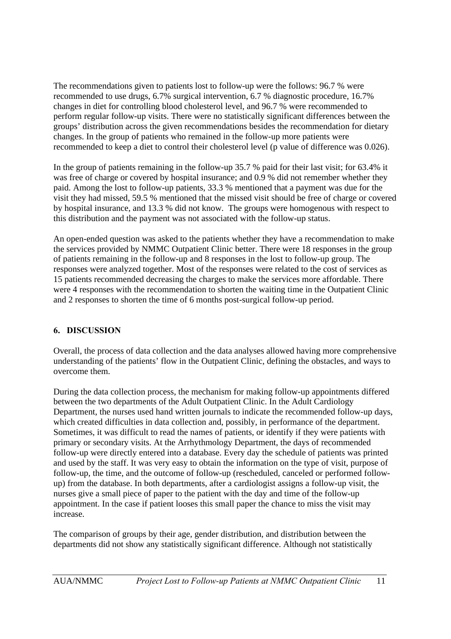The recommendations given to patients lost to follow-up were the follows: 96.7 % were recommended to use drugs, 6.7% surgical intervention, 6.7 % diagnostic procedure, 16.7% changes in diet for controlling blood cholesterol level, and 96.7 % were recommended to perform regular follow-up visits. There were no statistically significant differences between the groups' distribution across the given recommendations besides the recommendation for dietary changes. In the group of patients who remained in the follow-up more patients were recommended to keep a diet to control their cholesterol level (p value of difference was 0.026).

In the group of patients remaining in the follow-up 35.7 % paid for their last visit; for 63.4% it was free of charge or covered by hospital insurance; and 0.9 % did not remember whether they paid. Among the lost to follow-up patients, 33.3 % mentioned that a payment was due for the visit they had missed, 59.5 % mentioned that the missed visit should be free of charge or covered by hospital insurance, and 13.3 % did not know. The groups were homogenous with respect to this distribution and the payment was not associated with the follow-up status.

An open-ended question was asked to the patients whether they have a recommendation to make the services provided by NMMC Outpatient Clinic better. There were 18 responses in the group of patients remaining in the follow-up and 8 responses in the lost to follow-up group. The responses were analyzed together. Most of the responses were related to the cost of services as 15 patients recommended decreasing the charges to make the services more affordable. There were 4 responses with the recommendation to shorten the waiting time in the Outpatient Clinic and 2 responses to shorten the time of 6 months post-surgical follow-up period.

#### **6. DISCUSSION**

Overall, the process of data collection and the data analyses allowed having more comprehensive understanding of the patients' flow in the Outpatient Clinic, defining the obstacles, and ways to overcome them.

During the data collection process, the mechanism for making follow-up appointments differed between the two departments of the Adult Outpatient Clinic. In the Adult Cardiology Department, the nurses used hand written journals to indicate the recommended follow-up days, which created difficulties in data collection and, possibly, in performance of the department. Sometimes, it was difficult to read the names of patients, or identify if they were patients with primary or secondary visits. At the Arrhythmology Department, the days of recommended follow-up were directly entered into a database. Every day the schedule of patients was printed and used by the staff. It was very easy to obtain the information on the type of visit, purpose of follow-up, the time, and the outcome of follow-up (rescheduled, canceled or performed followup) from the database. In both departments, after a cardiologist assigns a follow-up visit, the nurses give a small piece of paper to the patient with the day and time of the follow-up appointment. In the case if patient looses this small paper the chance to miss the visit may increase.

The comparison of groups by their age, gender distribution, and distribution between the departments did not show any statistically significant difference. Although not statistically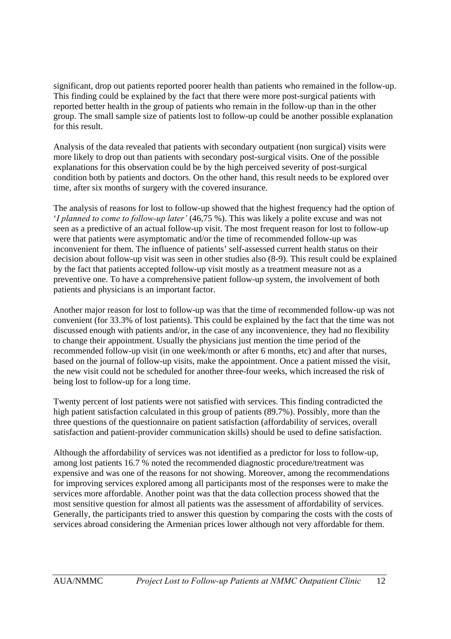significant, drop out patients reported poorer health than patients who remained in the follow-up. This finding could be explained by the fact that there were more post-surgical patients with reported better health in the group of patients who remain in the follow-up than in the other group. The small sample size of patients lost to follow-up could be another possible explanation for this result.

Analysis of the data revealed that patients with secondary outpatient (non surgical) visits were more likely to drop out than patients with secondary post-surgical visits. One of the possible explanations for this observation could be by the high perceived severity of post-surgical condition both by patients and doctors. On the other hand, this result needs to be explored over time, after six months of surgery with the covered insurance.

The analysis of reasons for lost to follow-up showed that the highest frequency had the option of '*I planned to come to follow-up later'* (46,75 %). This was likely a polite excuse and was not seen as a predictive of an actual follow-up visit. The most frequent reason for lost to follow-up were that patients were asymptomatic and/or the time of recommended follow-up was inconvenient for them. The influence of patients' self-assessed current health status on their decision about follow-up visit was seen in other studies also (8-9). This result could be explained by the fact that patients accepted follow-up visit mostly as a treatment measure not as a preventive one. To have a comprehensive patient follow-up system, the involvement of both patients and physicians is an important factor.

Another major reason for lost to follow-up was that the time of recommended follow-up was not convenient (for 33.3% of lost patients). This could be explained by the fact that the time was not discussed enough with patients and/or, in the case of any inconvenience, they had no flexibility to change their appointment. Usually the physicians just mention the time period of the recommended follow-up visit (in one week/month or after 6 months, etc) and after that nurses, based on the journal of follow-up visits, make the appointment. Once a patient missed the visit, the new visit could not be scheduled for another three-four weeks, which increased the risk of being lost to follow-up for a long time.

Twenty percent of lost patients were not satisfied with services. This finding contradicted the high patient satisfaction calculated in this group of patients (89.7%). Possibly, more than the three questions of the questionnaire on patient satisfaction (affordability of services, overall satisfaction and patient-provider communication skills) should be used to define satisfaction.

Although the affordability of services was not identified as a predictor for loss to follow-up, among lost patients 16.7 % noted the recommended diagnostic procedure/treatment was expensive and was one of the reasons for not showing. Moreover, among the recommendations for improving services explored among all participants most of the responses were to make the services more affordable. Another point was that the data collection process showed that the most sensitive question for almost all patients was the assessment of affordability of services. Generally, the participants tried to answer this question by comparing the costs with the costs of services abroad considering the Armenian prices lower although not very affordable for them.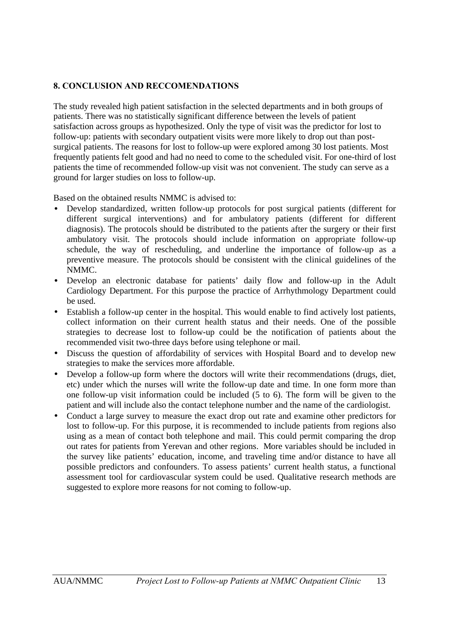#### **8. CONCLUSION AND RECCOMENDATIONS**

The study revealed high patient satisfaction in the selected departments and in both groups of patients. There was no statistically significant difference between the levels of patient satisfaction across groups as hypothesized. Only the type of visit was the predictor for lost to follow-up: patients with secondary outpatient visits were more likely to drop out than postsurgical patients. The reasons for lost to follow-up were explored among 30 lost patients. Most frequently patients felt good and had no need to come to the scheduled visit. For one-third of lost patients the time of recommended follow-up visit was not convenient. The study can serve as a ground for larger studies on loss to follow-up.

Based on the obtained results NMMC is advised to:

- Develop standardized, written follow-up protocols for post surgical patients (different for different surgical interventions) and for ambulatory patients (different for different diagnosis). The protocols should be distributed to the patients after the surgery or their first ambulatory visit. The protocols should include information on appropriate follow-up schedule, the way of rescheduling, and underline the importance of follow-up as a preventive measure. The protocols should be consistent with the clinical guidelines of the NMMC.
- Develop an electronic database for patients' daily flow and follow-up in the Adult Cardiology Department. For this purpose the practice of Arrhythmology Department could be used.
- Establish a follow-up center in the hospital. This would enable to find actively lost patients, collect information on their current health status and their needs. One of the possible strategies to decrease lost to follow-up could be the notification of patients about the recommended visit two-three days before using telephone or mail.
- Discuss the question of affordability of services with Hospital Board and to develop new strategies to make the services more affordable.
- Develop a follow-up form where the doctors will write their recommendations (drugs, diet, etc) under which the nurses will write the follow-up date and time. In one form more than one follow-up visit information could be included (5 to 6). The form will be given to the patient and will include also the contact telephone number and the name of the cardiologist.
- Conduct a large survey to measure the exact drop out rate and examine other predictors for lost to follow-up. For this purpose, it is recommended to include patients from regions also using as a mean of contact both telephone and mail. This could permit comparing the drop out rates for patients from Yerevan and other regions. More variables should be included in the survey like patients' education, income, and traveling time and/or distance to have all possible predictors and confounders. To assess patients' current health status, a functional assessment tool for cardiovascular system could be used. Qualitative research methods are suggested to explore more reasons for not coming to follow-up.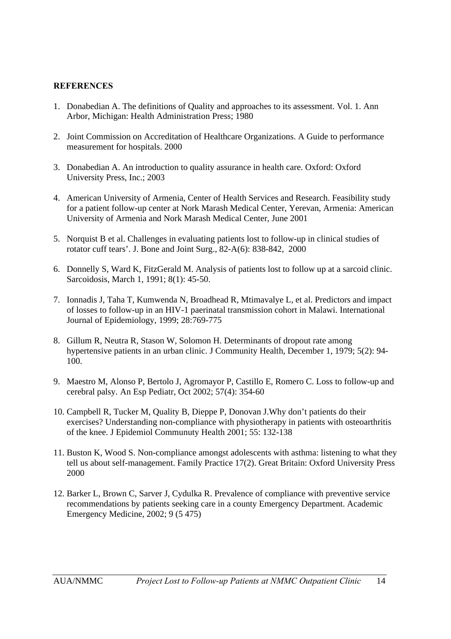#### **REFERENCES**

- 1. Donabedian A. The definitions of Quality and approaches to its assessment. Vol. 1. Ann Arbor, Michigan: Health Administration Press; 1980
- 2. Joint Commission on Accreditation of Healthcare Organizations. A Guide to performance measurement for hospitals. 2000
- 3. Donabedian A. An introduction to quality assurance in health care. Oxford: Oxford University Press, Inc.; 2003
- 4. American University of Armenia, Center of Health Services and Research. Feasibility study for a patient follow-up center at Nork Marash Medical Center, Yerevan, Armenia: American University of Armenia and Nork Marash Medical Center, June 2001
- 5. Norquist B et al. Challenges in evaluating patients lost to follow-up in clinical studies of rotator cuff tears'. J. Bone and Joint Surg., 82-A(6): 838-842, 2000
- 6. Donnelly S, Ward K, FitzGerald M. Analysis of patients lost to follow up at a sarcoid clinic. Sarcoidosis, March 1, 1991; 8(1): 45-50.
- 7. Ionnadis J, Taha T, Kumwenda N, Broadhead R, Mtimavalye L, et al. Predictors and impact of losses to follow-up in an HIV-1 paerinatal transmission cohort in Malawi. International Journal of Epidemiology, 1999; 28:769-775
- 8. Gillum R, Neutra R, Stason W, Solomon H. Determinants of dropout rate among hypertensive patients in an urban clinic. J Community Health, December 1, 1979; 5(2): 94- 100.
- 9. Maestro M, Alonso P, Bertolo J, Agromayor P, Castillo E, Romero C. Loss to follow-up and cerebral palsy. An Esp Pediatr, Oct 2002; 57(4): 354-60
- 10. Campbell R, Tucker M, Quality B, Dieppe P, Donovan J.Why don't patients do their exercises? Understanding non-compliance with physiotherapy in patients with osteoarthritis of the knee. J Epidemiol Communuty Health 2001; 55: 132-138
- 11. Buston K, Wood S. Non-compliance amongst adolescents with asthma: listening to what they tell us about self-management. Family Practice 17(2). Great Britain: Oxford University Press 2000
- 12. Barker L, Brown C, Sarver J, Cydulka R. Prevalence of compliance with preventive service recommendations by patients seeking care in a county Emergency Department. Academic Emergency Medicine, 2002; 9 (5 475)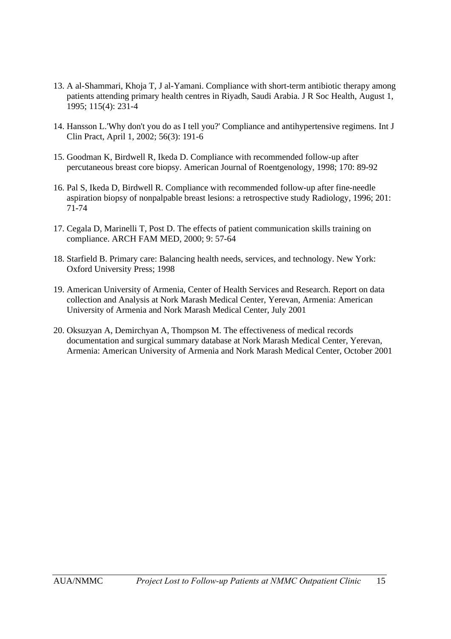- 13. A al-Shammari, Khoja T, J al-Yamani. Compliance with short-term antibiotic therapy among patients attending primary health centres in Riyadh, Saudi Arabia. J R Soc Health, August 1, 1995; 115(4): 231-4
- 14. Hansson L.'Why don't you do as I tell you?' Compliance and antihypertensive regimens. Int J Clin Pract, April 1, 2002; 56(3): 191-6
- 15. Goodman K, Birdwell R, Ikeda D. Compliance with recommended follow-up after percutaneous breast core biopsy. American Journal of Roentgenology, 1998; 170: 89-92
- 16. Pal S, Ikeda D, Birdwell R. Compliance with recommended follow-up after fine-needle aspiration biopsy of nonpalpable breast lesions: a retrospective study Radiology, 1996; 201: 71-74
- 17. Cegala D, Marinelli T, Post D. The effects of patient communication skills training on compliance. ARCH FAM MED, 2000; 9: 57-64
- 18. Starfield B. Primary care: Balancing health needs, services, and technology. New York: Oxford University Press; 1998
- 19. American University of Armenia, Center of Health Services and Research. Report on data collection and Analysis at Nork Marash Medical Center, Yerevan, Armenia: American University of Armenia and Nork Marash Medical Center, July 2001
- 20. Oksuzyan A, Demirchyan A, Thompson M. The effectiveness of medical records documentation and surgical summary database at Nork Marash Medical Center, Yerevan, Armenia: American University of Armenia and Nork Marash Medical Center, October 2001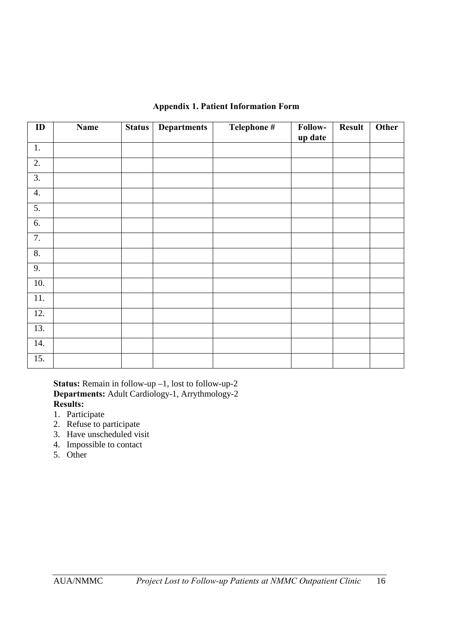| <b>Appendix 1. Patient Information Form</b> |
|---------------------------------------------|
|---------------------------------------------|

| ID               | <b>Name</b> | Status | <b>Departments</b> | Telephone # | Follow-<br>up date | <b>Result</b> | Other |
|------------------|-------------|--------|--------------------|-------------|--------------------|---------------|-------|
| $1.$             |             |        |                    |             |                    |               |       |
| $\overline{2}$ . |             |        |                    |             |                    |               |       |
| 3.               |             |        |                    |             |                    |               |       |
| 4.               |             |        |                    |             |                    |               |       |
| $\overline{5}$ . |             |        |                    |             |                    |               |       |
| 6.               |             |        |                    |             |                    |               |       |
| 7.               |             |        |                    |             |                    |               |       |
| $\overline{8}$ . |             |        |                    |             |                    |               |       |
| 9.               |             |        |                    |             |                    |               |       |
| $10.$            |             |        |                    |             |                    |               |       |
| 11.              |             |        |                    |             |                    |               |       |
| 12.              |             |        |                    |             |                    |               |       |
| 13.              |             |        |                    |             |                    |               |       |
| 14.              |             |        |                    |             |                    |               |       |
| 15.              |             |        |                    |             |                    |               |       |

**Status:** Remain in follow-up –1, lost to follow-up-2 **Departments:** Adult Cardiology-1, Arrythmology-2 **Results:**

- 1. Participate
- 2. Refuse to participate
- 3. Have unscheduled visit
- 4. Impossible to contact
- 5. Other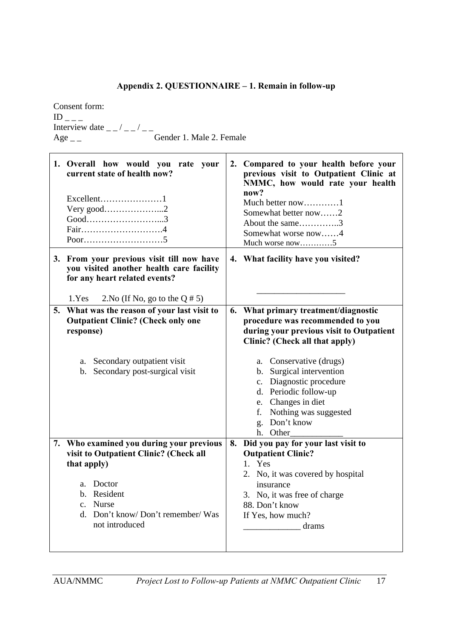# **Appendix 2. QUESTIONNAIRE – 1. Remain in follow-up**

Consent form:<br> $ID_{---}$  $\text{ID}_{---}$ Interview date  $\frac{1}{2}$   $\frac{1}{2}$   $\frac{1}{2}$   $\frac{1}{2}$   $\frac{1}{2}$ Age \_ \_ Gender 1. Male 2. Female

|    | 1. Overall how would you rate your<br>current state of health now?<br>Very good2<br>$Good$ 3<br>Fair4                                                                                                                   |    | 2. Compared to your health before your<br>previous visit to Outpatient Clinic at<br>NMMC, how would rate your health<br>now?<br>Much better now1<br>Somewhat better now2<br>About the same3<br>Somewhat worse now4<br>Much worse now5                                                                                                         |
|----|-------------------------------------------------------------------------------------------------------------------------------------------------------------------------------------------------------------------------|----|-----------------------------------------------------------------------------------------------------------------------------------------------------------------------------------------------------------------------------------------------------------------------------------------------------------------------------------------------|
|    | 3. From your previous visit till now have<br>you visited another health care facility<br>for any heart related events?                                                                                                  |    | 4. What facility have you visited?                                                                                                                                                                                                                                                                                                            |
| 5. | 1.Yes<br>2. No (If No, go to the Q $\# 5$ )<br>What was the reason of your last visit to<br><b>Outpatient Clinic? (Check only one</b><br>response)<br>a. Secondary outpatient visit<br>b. Secondary post-surgical visit | 6. | What primary treatment/diagnostic<br>procedure was recommended to you<br>during your previous visit to Outpatient<br>Clinic? (Check all that apply)<br>a. Conservative (drugs)<br>b. Surgical intervention<br>c. Diagnostic procedure<br>d. Periodic follow-up<br>e. Changes in diet<br>f. Nothing was suggested<br>g. Don't know<br>h. Other |
| 7. | Who examined you during your previous<br>visit to Outpatient Clinic? (Check all<br>that apply)<br>a. Doctor<br>b. Resident<br>c. Nurse<br>d. Don't know/Don't remember/Was<br>not introduced                            | 8. | Did you pay for your last visit to<br><b>Outpatient Clinic?</b><br>1. Yes<br>2. No, it was covered by hospital<br>insurance<br>3. No, it was free of charge<br>88. Don't know<br>If Yes, how much?<br>drams                                                                                                                                   |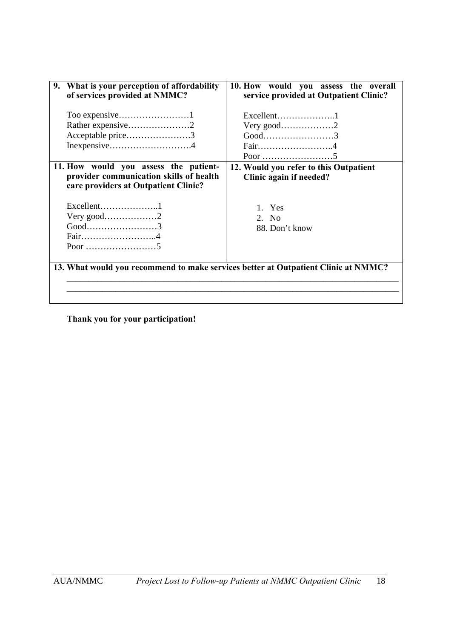| 9. What is your perception of affordability<br>of services provided at NMMC?                                             | 10. How would you assess the overall<br>service provided at Outpatient Clinic? |
|--------------------------------------------------------------------------------------------------------------------------|--------------------------------------------------------------------------------|
| Rather expensive2<br>Acceptable price3<br>Inexpensive4                                                                   | Excellent1<br>Very good2<br>$Good$ 3<br>Fair4                                  |
| 11. How would you assess the patient-<br>provider communication skills of health<br>care providers at Outpatient Clinic? | 12. Would you refer to this Outpatient<br>Clinic again if needed?              |
| $Excellent$ 1<br>Very good2<br>$Good$ 3<br>Fair4                                                                         | 1. Yes<br>2. No<br>88. Don't know                                              |
| 13. What would you recommend to make services better at Outpatient Clinic at NMMC?                                       |                                                                                |

**Thank you for your participation!**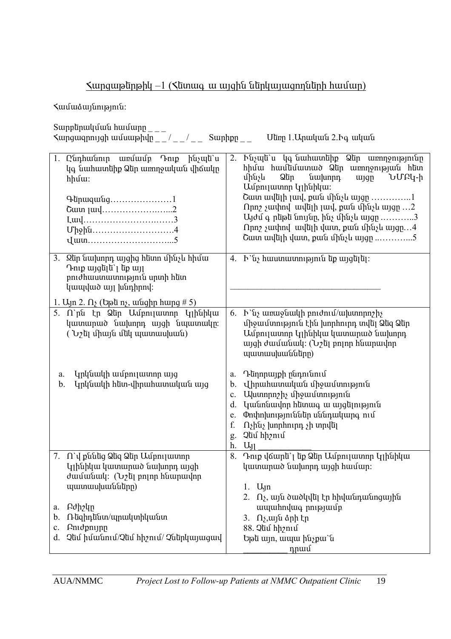# $\frac{1}{2}$  supgmablom  $\frac{1}{2}$  ( $\frac{1}{2}$  supplying the upplying supplying the supplying supplying supplying supplying the supplying supplying supplying supplying supplying supplying supplying supplying supplying supplyi

*<u>Kuuututuuunpuutektuudekseed</u>* 

| Ընդհանուր առմամբ Դուք ինչպե`ս<br>1.<br>կգ նահատեիք Ձեր առողջական վիճակը<br>$h$ $h$ $u$ :<br>$\Phi$<br>Cuun [uu]2<br>Upphu4                                                                                               | Ւնչպե`ս կգ նահատեիք Ձեր առողջությունը<br>2.<br>hիմա hամեմատած Ձեր առողջության hետ<br>նախորդ<br>մինչև<br>Ձեր<br>wiqn<br>ՆՄԲԿ-ի<br>Ամբուլատոր կլինիկա։<br>Շատ ավելի լավ, քան մինչև այցը 1<br>Որոշ չափով ավելի լավ, քան մինչև այցը 2<br>$U_1$ use play the United plays in the United Sections of $1, 2, , \ldots$<br>Որոշ չափով ավելի վատ, քան մինչև այցը4<br>Cuun uu $[\bar{u}]$ h $[\bar{u}]$ uun, puut uhtu uungn 5 |
|--------------------------------------------------------------------------------------------------------------------------------------------------------------------------------------------------------------------------|----------------------------------------------------------------------------------------------------------------------------------------------------------------------------------------------------------------------------------------------------------------------------------------------------------------------------------------------------------------------------------------------------------------------|
| 3. Qun նախորդ այցից hunn մինչև hիմա<br>Դուք այցելե`լ եք այլ<br>բուժհաստատություն սրտի հետ<br>կապված այլ խնդիրով:                                                                                                         | 4. $\mathbf{b}$ \ $\mathbf{u}_i$ hwuunwunn p jn t u b w jq u jq u j                                                                                                                                                                                                                                                                                                                                                  |
| 1. U <sub>J</sub> n 2. Ω <sub>2</sub> (Up ū n i <sub>z</sub> , wu q h n u n q $\#$ 5)                                                                                                                                    |                                                                                                                                                                                                                                                                                                                                                                                                                      |
| 5. Ո`րն էր Ձեր Ամբուլատոր կլինիկա<br>կատարած նախորդ այցի նպատակը։<br>$(y_2)$ $\bar{u}$ $\bar{v}$ $\bar{u}$ $\bar{u}$ $\bar{u}$ $\bar{u}$ $\bar{u}$ $\bar{u}$ $\bar{u}$ $\bar{u}$ $\bar{u}$ $\bar{u}$ $\bar{u}$ $\bar{u}$ | $\mathbf{b}$ \ $\mathbf{u}_i$ where $\mathbf{u}_j$ will perominal $\mathbf{u}_i$ where $\mathbf{u}_i$<br>6.<br>միջամտություն էին խորհուրդ տվել Ձեզ Ձեր<br>Ամբուլատոր կլինիկա կատարած նախորդ<br>այցի ժամանակ: (Նշել բոլոր հնարավոր<br>պատասխանները)                                                                                                                                                                   |
| կրկնակի ամբուլատոր այց<br>a.<br>Կրկնակի հետ-վիրահատական այց<br>b.                                                                                                                                                        | Դեղորայքի ընդունում<br>a.<br>վիրահատական միջամտություն<br>b.<br>Uluunnn2h unsuuunnnan<br>c.<br>կանոնավոր հետագ ա այցելություն<br>d.<br>Փոփոխություններ սննդակարգ ում<br>e.<br>f.<br>$\Omega_2$ ինչ խորհուրդ չի տրվել<br>Չնմ հիշում<br>g.<br>h.<br>$U_{11}$                                                                                                                                                           |
| 7. Ո`վ քննեց Ձեզ Ձեր Ամբուլատոր                                                                                                                                                                                          | Դուք վճարե՝ լ եք Ձեր Ամբուլատոր Կլինիկա<br>8.                                                                                                                                                                                                                                                                                                                                                                        |
| Կլինիկա կատարած նախորդ այցի                                                                                                                                                                                              | կատարած նախորդ այցի համար։                                                                                                                                                                                                                                                                                                                                                                                           |
| ժամանակ: (Նշել բոլոր հնարավոր                                                                                                                                                                                            |                                                                                                                                                                                                                                                                                                                                                                                                                      |
| պատասխանները)                                                                                                                                                                                                            | $1.$ U <sub>1</sub> n                                                                                                                                                                                                                                                                                                                                                                                                |
| Բժիշկը<br>a.                                                                                                                                                                                                             | 2. $\Omega$ , այն ծածկվել էր հիվանդանոցային<br>ապահովագ րությամբ                                                                                                                                                                                                                                                                                                                                                     |
| Ռեզիդենտ/պրակտիկանտ<br>b.                                                                                                                                                                                                | 3. $\Omega$ , այն ձրի էր                                                                                                                                                                                                                                                                                                                                                                                             |
| Pnidpnijnn<br>c.                                                                                                                                                                                                         | 88. Quu hhanu                                                                                                                                                                                                                                                                                                                                                                                                        |
| Չեմ իմանում/Չեմ հիշում/ Չներկայացավ<br>d.                                                                                                                                                                                | Եթե այո, ապա ինչքա`ն<br>դրամ                                                                                                                                                                                                                                                                                                                                                                                         |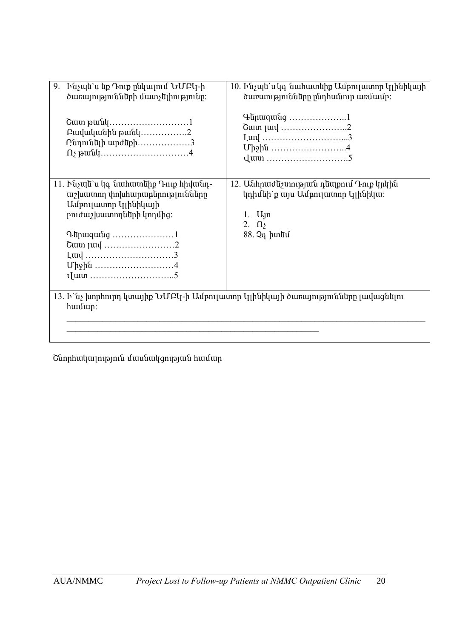| 9.<br>Ինչպե`ս եք Դուք ընկալում ՆՄԲԿ-ի<br>ծառայությունների մատչելիությունը։                      | 10. Ինչպե`ս կգ նահատեիք Ամբուլատոր կլինիկայի<br>ծառաությունները ընդհանուր առմամբ։                                                                                                                                                                                                                                                |  |  |
|-------------------------------------------------------------------------------------------------|----------------------------------------------------------------------------------------------------------------------------------------------------------------------------------------------------------------------------------------------------------------------------------------------------------------------------------|--|--|
| Բավականին թանկ2<br>$Q$ նդունելի արժեքի3                                                         | $\Phi$ + $\Phi$ + $\Phi$ + $\Phi$ + $\Phi$ + $\Phi$ + $\Phi$ + $\Phi$ + $\Phi$ + $\Phi$ + $\Phi$ + $\Phi$ + $\Phi$ + $\Phi$ + $\Phi$ + $\Phi$ + $\Phi$ + $\Phi$ + $\Phi$ + $\Phi$ + $\Phi$ + $\Phi$ + $\Phi$ + $\Phi$ + $\Phi$ + $\Phi$ + $\Phi$ + $\Phi$ + $\Phi$ + $\Phi$ + $\Phi$ + $\Phi$<br>Cuun juul 2<br>Luu 3<br>Միջին 4 |  |  |
| 11. Ինչպե`ս կգ նահատեիք Դուք հիվանդ-<br>աշխատող փոխհարաբերությունները<br>Ամբուլատոր կլինիկայի   | 12. Անհրաժեշտության դեպքում Դուք կրկին<br>կդիմեի՝ քայս Ամբուլատոր կլինիկա։                                                                                                                                                                                                                                                       |  |  |
| բուժաշխատողների կողմից։                                                                         | $1.$ U <sub>1</sub> n<br>2. $\Omega$                                                                                                                                                                                                                                                                                             |  |  |
| $\Phi$<br>Cuun [uu] 2                                                                           | 88. Չգ իտեմ                                                                                                                                                                                                                                                                                                                      |  |  |
|                                                                                                 |                                                                                                                                                                                                                                                                                                                                  |  |  |
| Միջին 4                                                                                         |                                                                                                                                                                                                                                                                                                                                  |  |  |
| 13. Ի`նչ խորհուրդ կտայիք ՆՄԲԿ-ի Ամբուլատոր կլինիկայի ծառայությունները լավացնելու<br>$h$ wultup: |                                                                                                                                                                                                                                                                                                                                  |  |  |
|                                                                                                 |                                                                                                                                                                                                                                                                                                                                  |  |  |

Շնորհակալություն մասնակցության համար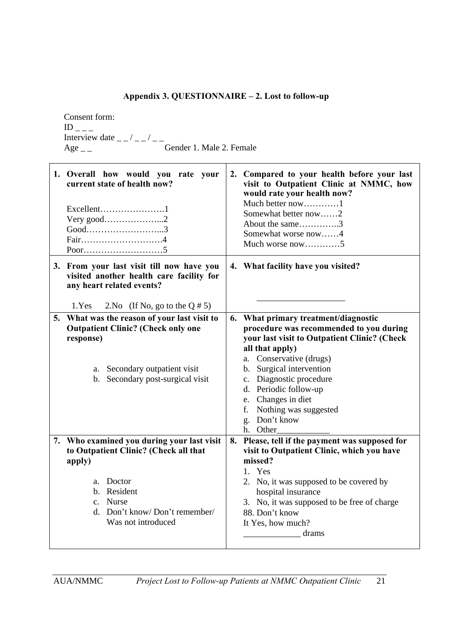# **Appendix 3. QUESTIONNAIRE – 2. Lost to follow-up**

Consent form:  $ID_{---}$ Interview date  $\frac{1}{2}$   $\frac{1}{2}$   $\frac{1}{2}$   $\frac{1}{2}$   $\frac{1}{2}$ Age \_\_ Gender 1. Male 2. Female

| 1. Overall how would you rate your<br>current state of health now?                                                                                                | 2. Compared to your health before your last<br>visit to Outpatient Clinic at NMMC, how<br>would rate your health now?<br>Much better now1<br>Somewhat better now2<br>About the same3<br>Somewhat worse now4<br>Much worse now5 |
|-------------------------------------------------------------------------------------------------------------------------------------------------------------------|--------------------------------------------------------------------------------------------------------------------------------------------------------------------------------------------------------------------------------|
| 3. From your last visit till now have you<br>visited another health care facility for<br>any heart related events?<br>1.Yes<br>2. No (If No, go to the Q $\# 5$ ) | 4. What facility have you visited?                                                                                                                                                                                             |
| 5. What was the reason of your last visit to                                                                                                                      | 6. What primary treatment/diagnostic                                                                                                                                                                                           |
| <b>Outpatient Clinic? (Check only one</b>                                                                                                                         | procedure was recommended to you during                                                                                                                                                                                        |
| response)                                                                                                                                                         | your last visit to Outpatient Clinic? (Check                                                                                                                                                                                   |
|                                                                                                                                                                   | all that apply)                                                                                                                                                                                                                |
|                                                                                                                                                                   | a. Conservative (drugs)                                                                                                                                                                                                        |
| a. Secondary outpatient visit                                                                                                                                     | b. Surgical intervention                                                                                                                                                                                                       |
| b. Secondary post-surgical visit                                                                                                                                  | c. Diagnostic procedure                                                                                                                                                                                                        |
|                                                                                                                                                                   | d. Periodic follow-up                                                                                                                                                                                                          |
|                                                                                                                                                                   | e. Changes in diet                                                                                                                                                                                                             |
|                                                                                                                                                                   | Nothing was suggested<br>f.<br>Don't know                                                                                                                                                                                      |
|                                                                                                                                                                   | $\mathbf{g}$ .<br>h. Other                                                                                                                                                                                                     |
| 7. Who examined you during your last visit                                                                                                                        | 8. Please, tell if the payment was supposed for                                                                                                                                                                                |
| to Outpatient Clinic? (Check all that                                                                                                                             | visit to Outpatient Clinic, which you have                                                                                                                                                                                     |
| apply)                                                                                                                                                            | missed?                                                                                                                                                                                                                        |
|                                                                                                                                                                   | 1. Yes                                                                                                                                                                                                                         |
| a. Doctor                                                                                                                                                         | 2. No, it was supposed to be covered by                                                                                                                                                                                        |
| b. Resident                                                                                                                                                       | hospital insurance                                                                                                                                                                                                             |
| c. Nurse                                                                                                                                                          | 3. No, it was supposed to be free of charge                                                                                                                                                                                    |
| d. Don't know/Don't remember/                                                                                                                                     | 88. Don't know                                                                                                                                                                                                                 |
| Was not introduced                                                                                                                                                | It Yes, how much?                                                                                                                                                                                                              |
|                                                                                                                                                                   | drams                                                                                                                                                                                                                          |
|                                                                                                                                                                   |                                                                                                                                                                                                                                |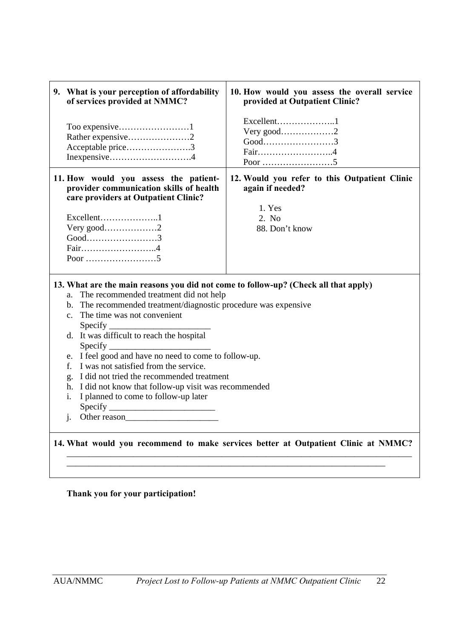|                                                             | 9. What is your perception of affordability<br>of services provided at NMMC?                                                                                                                                                                                                                                                                                                                                                                                                                             | 10. How would you assess the overall service<br>provided at Outpatient Clinic?     |  |
|-------------------------------------------------------------|----------------------------------------------------------------------------------------------------------------------------------------------------------------------------------------------------------------------------------------------------------------------------------------------------------------------------------------------------------------------------------------------------------------------------------------------------------------------------------------------------------|------------------------------------------------------------------------------------|--|
|                                                             | Acceptable price3                                                                                                                                                                                                                                                                                                                                                                                                                                                                                        | Excellent1<br>Very good2<br>$Good$ 3<br>Fair4                                      |  |
|                                                             | 11. How would you assess the patient-<br>provider communication skills of health<br>care providers at Outpatient Clinic?                                                                                                                                                                                                                                                                                                                                                                                 | 12. Would you refer to this Outpatient Clinic<br>again if needed?                  |  |
|                                                             |                                                                                                                                                                                                                                                                                                                                                                                                                                                                                                          | 1. Yes                                                                             |  |
|                                                             | Excellent1                                                                                                                                                                                                                                                                                                                                                                                                                                                                                               | 2. No                                                                              |  |
|                                                             | Very good2                                                                                                                                                                                                                                                                                                                                                                                                                                                                                               | 88. Don't know                                                                     |  |
|                                                             | $Good$ 3                                                                                                                                                                                                                                                                                                                                                                                                                                                                                                 |                                                                                    |  |
|                                                             | Fair4                                                                                                                                                                                                                                                                                                                                                                                                                                                                                                    |                                                                                    |  |
|                                                             |                                                                                                                                                                                                                                                                                                                                                                                                                                                                                                          |                                                                                    |  |
| a.<br>$\mathbf{c}$ .<br>$f_{\cdot}$<br>g.<br>h.<br>i.<br>j. | 13. What are the main reasons you did not come to follow-up? (Check all that apply)<br>The recommended treatment did not help<br>b. The recommended treatment/diagnostic procedure was expensive<br>The time was not convenient<br>Specify<br>e. I feel good and have no need to come to follow-up.<br>I was not satisfied from the service.<br>I did not tried the recommended treatment<br>I did not know that follow-up visit was recommended<br>I planned to come to follow-up later<br>Other reason |                                                                                    |  |
|                                                             |                                                                                                                                                                                                                                                                                                                                                                                                                                                                                                          |                                                                                    |  |
|                                                             |                                                                                                                                                                                                                                                                                                                                                                                                                                                                                                          | 14. What would you recommend to make services better at Outpatient Clinic at NMMC? |  |

## **Thank you for your participation!**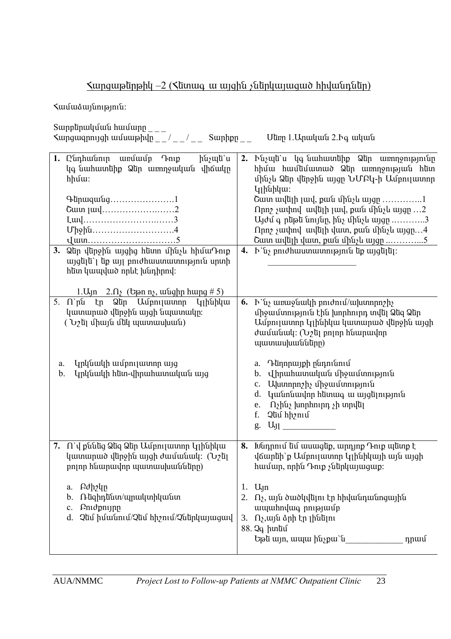# $\frac{1}{2}$  sungwelpell -2 (Slimwq w wjghu subplywjwgwo hhywunalpell

*<u>Kuuututuuunpuutektuudekseed</u>* 

| 1. Ընդհանուր առմամբ Դուք                                                                                                                                                                                                                                                                                            | 2. Ինչպե`ս կգ նահատեիք Ձեր առողջությունը                                                                                                                                                                              |
|---------------------------------------------------------------------------------------------------------------------------------------------------------------------------------------------------------------------------------------------------------------------------------------------------------------------|-----------------------------------------------------------------------------------------------------------------------------------------------------------------------------------------------------------------------|
| ինչպե`ս                                                                                                                                                                                                                                                                                                             | hիմա hամեմատած Ձեր առողջության hետ                                                                                                                                                                                    |
| կգ նահատեիք Ձեր առողջական վիճակը                                                                                                                                                                                                                                                                                    | մինչև Ձեր վերջին այցը ՆՄԲԿ-ի Ամբուլատոր                                                                                                                                                                               |
| $h$ $h$ $u$ :                                                                                                                                                                                                                                                                                                       | $I_1$ ինիկա:                                                                                                                                                                                                          |
| Q                                                                                                                                                                                                                                                                                                                   | Շատ ավելի լավ, քան մինչև այցը 1                                                                                                                                                                                       |
| Cuun [uu]2                                                                                                                                                                                                                                                                                                          | npn2 չափով ավելի լավ, քան մինչև այցը 2                                                                                                                                                                                |
| Luu3                                                                                                                                                                                                                                                                                                                | Այժմ գ րեթե նույնը, ինչ մինչև այցը 3                                                                                                                                                                                  |
| Upphu4                                                                                                                                                                                                                                                                                                              | $\Omega$ pn / suuhnd uuduh duun, puuu uhusu uygp4                                                                                                                                                                     |
| $\frac{1}{2}$ $\frac{1}{2}$ $\frac{1}{2}$ $\frac{1}{2}$ $\frac{1}{2}$ $\frac{1}{2}$ $\frac{1}{2}$ $\frac{1}{2}$ $\frac{1}{2}$ $\frac{1}{2}$ $\frac{1}{2}$ $\frac{1}{2}$ $\frac{1}{2}$ $\frac{1}{2}$ $\frac{1}{2}$ $\frac{1}{2}$ $\frac{1}{2}$ $\frac{1}{2}$ $\frac{1}{2}$ $\frac{1}{2}$ $\frac{1}{2}$ $\frac{1}{2}$ | Շատ ավելի վատ, քան մինչև այցը 5                                                                                                                                                                                       |
| 3. Qun վunջին այցից hunn մինչև hիմաԴուք<br>$\psi$ այցելե՝ լեք այլ բուժհաստատություն սրտի<br>հետ կապված որևէ խնդիրով:<br>1. Uyn $2.\Omega_2$ (Upan n <sub>2</sub> , wunghp hupp # 5)                                                                                                                                 | 4. $\mathbf{h}$ 'նչ բուժհաստատություն եք այցելել:                                                                                                                                                                     |
| 5. Ո`րն էր Ձեր Ամբուլատոր կլինիկա<br>կատարած վերջին այցի նպատակը։<br>( Նշել միայն մեկ պատասխան)<br>կրկնակի ամբուլատոր այց<br>a.                                                                                                                                                                                     | 6. $\mathbf{b}$ 'uz www.<br>միջամտություն էին խորհուրդ տվել Ձեզ Ձեր<br>Ամբուլատոր կլինիկա կատարած վերջին այցի<br>ժամանակ։ (Նշել բոլոր հնարավոր<br>պատասխանները)<br>Դեղորայքի ընդունում<br>a.                          |
| Կրկնակի հետ-վիրահատական այց<br>b.                                                                                                                                                                                                                                                                                   | վիրահատական միջամտություն<br>$\mathbf{b}$ .<br>Ախտորոշիչ միջամտություն<br>c.<br>կանոնավոր հետագ ա այցելություն<br>d.<br>Ոչինչ խորհուրդ չի տրվել<br>e.<br>Չեմ հիշում<br>f.<br>$U_{\rm J}$ $\qquad \qquad \qquad$<br>g. |
| 7. Ո`վ քննեց Ձեզ Ձեր Ամբուլատոր կլինիկա                                                                                                                                                                                                                                                                             | 8. Ivunnul uu muuqup, mpnynp Դուք պետք է                                                                                                                                                                              |
| կատարած վերջին այզի ժամանակ: (Նշել                                                                                                                                                                                                                                                                                  | վճարեի`ք Ամբուլատոր կլինիկայի այն այցի                                                                                                                                                                                |
| բոլոր հնարավոր պատասխանները)                                                                                                                                                                                                                                                                                        | hամար, որին Դուք չներկայացաք:                                                                                                                                                                                         |
| Բժիշկը                                                                                                                                                                                                                                                                                                              | 1. $U_{\text{1}}$                                                                                                                                                                                                     |
| a.                                                                                                                                                                                                                                                                                                                  | Ոչ, այն ծածկվելու էր հիվանդանոցային                                                                                                                                                                                   |
| b. Ռեզիդենտ/պրակտիկանտ                                                                                                                                                                                                                                                                                              | ապահովագ րությամբ                                                                                                                                                                                                     |
| Pnidpnijnn                                                                                                                                                                                                                                                                                                          | 3. Ոչ, այն ձրի էր լինելու                                                                                                                                                                                             |
| c.                                                                                                                                                                                                                                                                                                                  | 88. Չգ իտեմ                                                                                                                                                                                                           |
| Qui hutuunu/Qui hhanu/Quunuquuquud                                                                                                                                                                                                                                                                                  | Եթե այո, ապա ինչքա`ն                                                                                                                                                                                                  |
| d.                                                                                                                                                                                                                                                                                                                  | դրամ                                                                                                                                                                                                                  |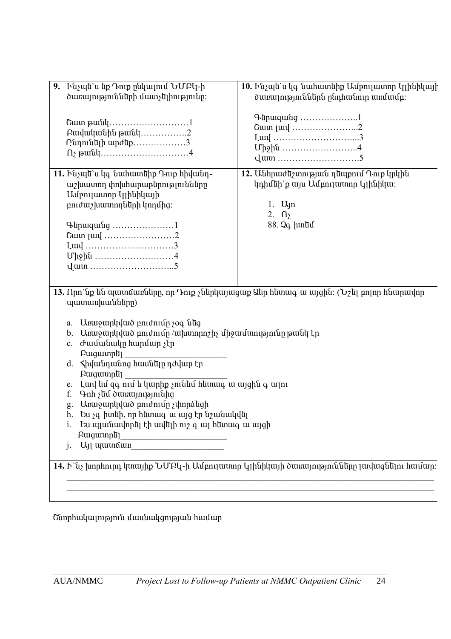| 9. Ինչպե`ս եք Դուք ընկալում ՆՄԲԿ-ի<br>ծառայությունների մատչելիությունը։                                                                                                                                                                                                                                                                                                                                                                                                                                                                                                                                                                                                              | 10. Ինչպե`ս կգ նահատեիք Ամբուլատոր կլինիկայի<br>ծառալություններն ընդհանուր առմամբ:                                       |  |  |  |
|--------------------------------------------------------------------------------------------------------------------------------------------------------------------------------------------------------------------------------------------------------------------------------------------------------------------------------------------------------------------------------------------------------------------------------------------------------------------------------------------------------------------------------------------------------------------------------------------------------------------------------------------------------------------------------------|--------------------------------------------------------------------------------------------------------------------------|--|--|--|
| Բավականին թանկ2<br>Ընդունելի արժեք3                                                                                                                                                                                                                                                                                                                                                                                                                                                                                                                                                                                                                                                  | Գերազանց 1<br>Cuun [uu] 2<br>Luu[ 3<br>Միջին 4                                                                           |  |  |  |
| 11. Ինչպե`ս կգ նահատեիք Դուք հիվանդ-<br>աշխատող փոխհարաբերությունները<br>Ամբուլատոր կլինիկայի<br>բուժաշխատողների կողմից։<br>Գերազանց 1<br>Cuun [uu] 2<br>Luu 3<br>Upphu 4                                                                                                                                                                                                                                                                                                                                                                                                                                                                                                            | 12. Անհրաժեշտության դեպքում Դուք կրկին<br>կդիմեի՝ քայս Ամբուլատոր կլինիկա։<br>1. $U_1$ n<br>2. $\Omega$<br>88. $Qq$ իտեմ |  |  |  |
| 13. Որո`նք են պատճառները, որ Դուք չներկայացաք Ձեր հետագ ա այցին։ (Նշել բոլոր հնարավոր<br>պատասխանները)                                                                                                                                                                                                                                                                                                                                                                                                                                                                                                                                                                               |                                                                                                                          |  |  |  |
| Unuyunuud pnidniun soq utiq<br>a.<br>Առաջարկված բուժումը /ախտորոշիչ միջամտությունը թանկ էր<br>$\mathbf{b}$ .<br>Ժամանակը հարմար չէր<br>c.<br><b>Puguing</b><br>d. Shywunuung hwuutin ndywn tn<br>Բացատրել<br>e. Luul tu qq nu lu luuphp snu tu htunuq u uyghu q uqnu<br>$\Phi$ nh $\phi$ undung an upper that the purished that the purished that the purished that the purishes of the purishes of the purishes of the purishes of the purishes of the purishes of the purishes of the purishes of the pur<br>f.<br>Unuyunlulud pnidniun sunnatigh<br>g.<br>h. Ես չգ իտեի, որ հետագ ա այց էր նշանակվել<br>Ես պլանավորել էի ավելի ուշ գ ալ հետագ ա այցի<br>1.<br>Բացատրել<br>$\cdot$ |                                                                                                                          |  |  |  |
| 14. Ի`նչ խորհուրդ կտայիք ՆՄԲԿ-ի Ամբուլատոր կլինիկայի ծառայությունները լավացնելու համար։                                                                                                                                                                                                                                                                                                                                                                                                                                                                                                                                                                                              |                                                                                                                          |  |  |  |
|                                                                                                                                                                                                                                                                                                                                                                                                                                                                                                                                                                                                                                                                                      |                                                                                                                          |  |  |  |

Շնորհակալություն մասնակցության համար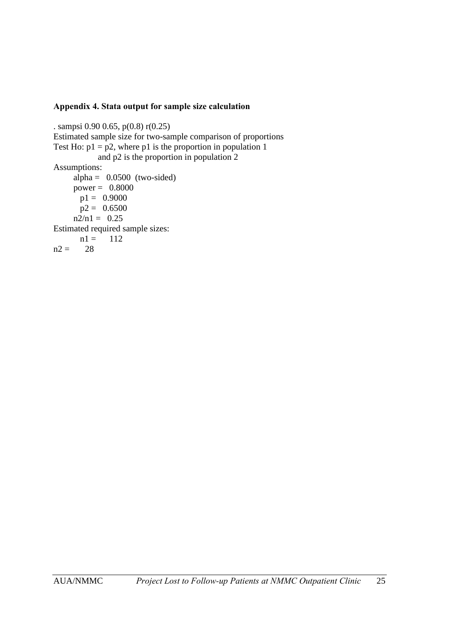#### **Appendix 4. Stata output for sample size calculation**

. sampsi 0.90 0.65, p(0.8) r(0.25) Estimated sample size for two-sample comparison of proportions Test Ho:  $p1 = p2$ , where p1 is the proportion in population 1 and p2 is the proportion in population 2 Assumptions: alpha =  $0.0500$  (two-sided) power =  $0.8000$  $p1 = 0.9000$  $p2 = 0.6500$  $n2/n1 = 0.25$ Estimated required sample sizes:  $nl = 112$  $n2 = 28$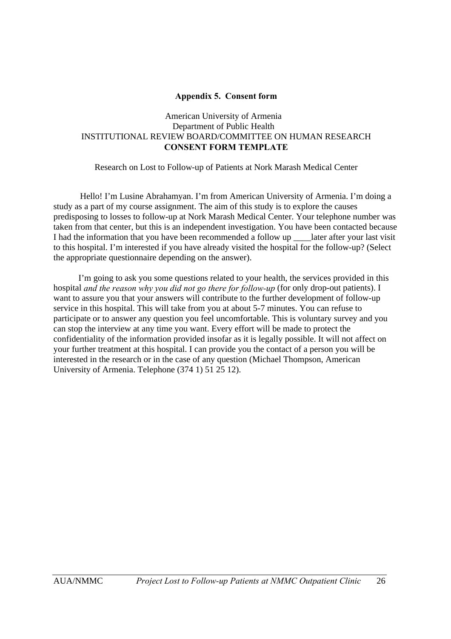#### **Appendix 5. Consent form**

#### American University of Armenia Department of Public Health INSTITUTIONAL REVIEW BOARD/COMMITTEE ON HUMAN RESEARCH **CONSENT FORM TEMPLATE**

Research on Lost to Follow-up of Patients at Nork Marash Medical Center

Hello! I'm Lusine Abrahamyan. I'm from American University of Armenia. I'm doing a study as a part of my course assignment. The aim of this study is to explore the causes predisposing to losses to follow-up at Nork Marash Medical Center. Your telephone number was taken from that center, but this is an independent investigation. You have been contacted because I had the information that you have been recommended a follow up later after your last visit to this hospital. I'm interested if you have already visited the hospital for the follow-up? (Select the appropriate questionnaire depending on the answer).

I'm going to ask you some questions related to your health, the services provided in this hospital *and the reason why you did not go there for follow-up* (for only drop-out patients). I want to assure you that your answers will contribute to the further development of follow-up service in this hospital. This will take from you at about 5-7 minutes. You can refuse to participate or to answer any question you feel uncomfortable. This is voluntary survey and you can stop the interview at any time you want. Every effort will be made to protect the confidentiality of the information provided insofar as it is legally possible. It will not affect on your further treatment at this hospital. I can provide you the contact of a person you will be interested in the research or in the case of any question (Michael Thompson, American University of Armenia. Telephone (374 1) 51 25 12).